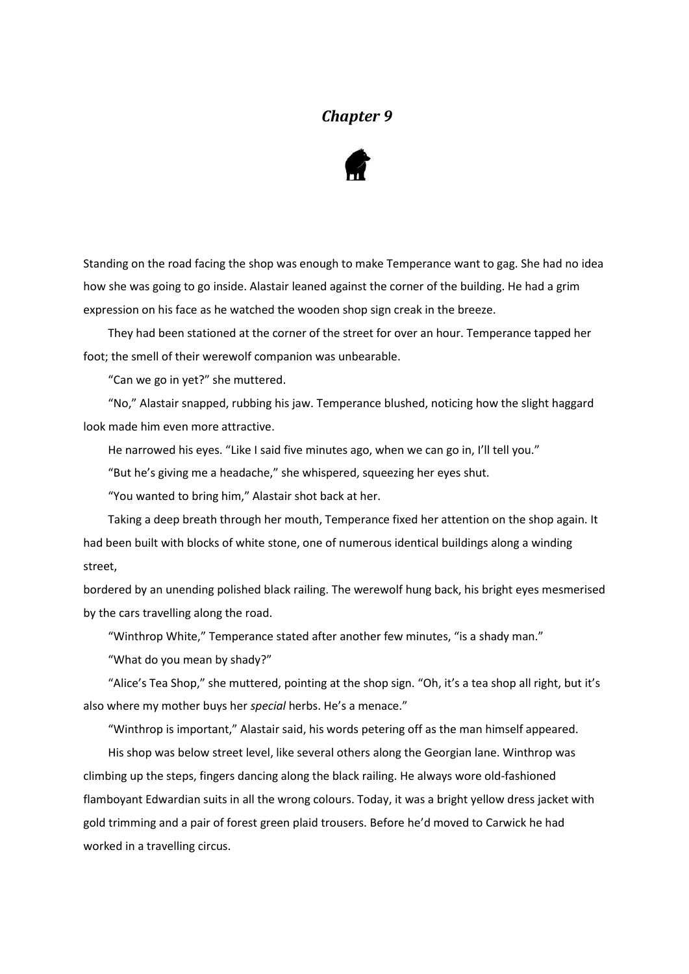## *Chapter 9*



Standing on the road facing the shop was enough to make Temperance want to gag. She had no idea how she was going to go inside. Alastair leaned against the corner of the building. He had a grim expression on his face as he watched the wooden shop sign creak in the breeze.

They had been stationed at the corner of the street for over an hour. Temperance tapped her foot; the smell of their werewolf companion was unbearable.

"Can we go in yet?" she muttered.

"No," Alastair snapped, rubbing his jaw. Temperance blushed, noticing how the slight haggard look made him even more attractive.

He narrowed his eyes. "Like I said five minutes ago, when we can go in, I'll tell you."

"But he's giving me a headache," she whispered, squeezing her eyes shut.

"You wanted to bring him," Alastair shot back at her.

Taking a deep breath through her mouth, Temperance fixed her attention on the shop again. It had been built with blocks of white stone, one of numerous identical buildings along a winding street,

bordered by an unending polished black railing. The werewolf hung back, his bright eyes mesmerised by the cars travelling along the road.

"Winthrop White," Temperance stated after another few minutes, "is a shady man."

"What do you mean by shady?"

"Alice's Tea Shop," she muttered, pointing at the shop sign. "Oh, it's a tea shop all right, but it's also where my mother buys her *special* herbs. He's a menace."

"Winthrop is important," Alastair said, his words petering off as the man himself appeared.

His shop was below street level, like several others along the Georgian lane. Winthrop was climbing up the steps, fingers dancing along the black railing. He always wore old-fashioned flamboyant Edwardian suits in all the wrong colours. Today, it was a bright yellow dress jacket with gold trimming and a pair of forest green plaid trousers. Before he'd moved to Carwick he had worked in a travelling circus.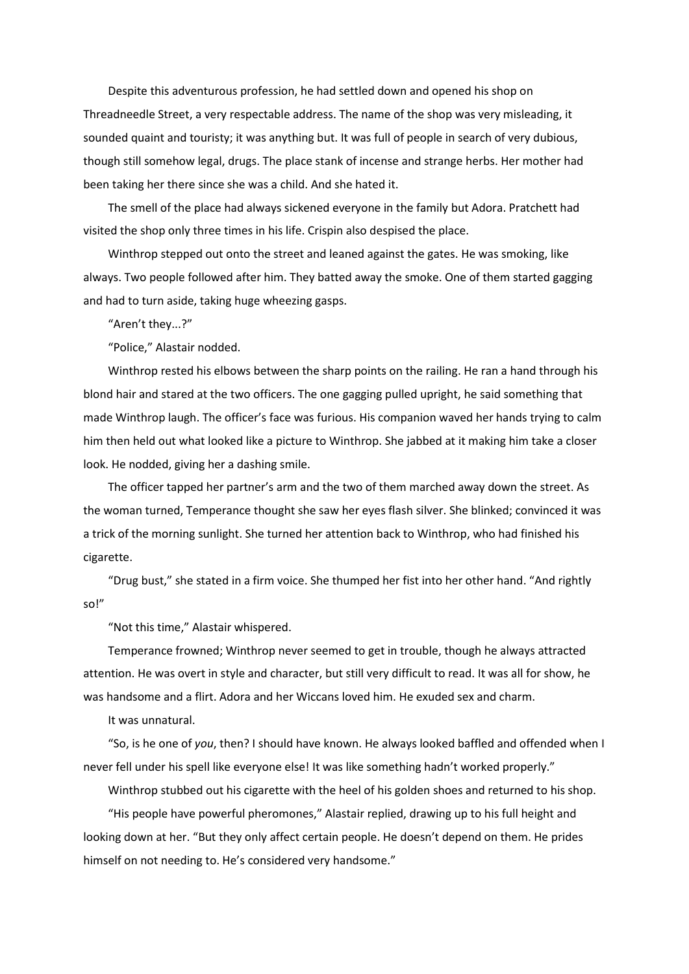Despite this adventurous profession, he had settled down and opened his shop on Threadneedle Street, a very respectable address. The name of the shop was very misleading, it sounded quaint and touristy; it was anything but. It was full of people in search of very dubious, though still somehow legal, drugs. The place stank of incense and strange herbs. Her mother had been taking her there since she was a child. And she hated it.

The smell of the place had always sickened everyone in the family but Adora. Pratchett had visited the shop only three times in his life. Crispin also despised the place.

Winthrop stepped out onto the street and leaned against the gates. He was smoking, like always. Two people followed after him. They batted away the smoke. One of them started gagging and had to turn aside, taking huge wheezing gasps.

"Aren't they...?"

"Police," Alastair nodded.

Winthrop rested his elbows between the sharp points on the railing. He ran a hand through his blond hair and stared at the two officers. The one gagging pulled upright, he said something that made Winthrop laugh. The officer's face was furious. His companion waved her hands trying to calm him then held out what looked like a picture to Winthrop. She jabbed at it making him take a closer look. He nodded, giving her a dashing smile.

The officer tapped her partner's arm and the two of them marched away down the street. As the woman turned, Temperance thought she saw her eyes flash silver. She blinked; convinced it was a trick of the morning sunlight. She turned her attention back to Winthrop, who had finished his cigarette.

"Drug bust," she stated in a firm voice. She thumped her fist into her other hand. "And rightly so!"

"Not this time," Alastair whispered.

Temperance frowned; Winthrop never seemed to get in trouble, though he always attracted attention. He was overt in style and character, but still very difficult to read. It was all for show, he was handsome and a flirt. Adora and her Wiccans loved him. He exuded sex and charm.

It was unnatural.

"So, is he one of *you*, then? I should have known. He always looked baffled and offended when I never fell under his spell like everyone else! It was like something hadn't worked properly."

Winthrop stubbed out his cigarette with the heel of his golden shoes and returned to his shop.

"His people have powerful pheromones," Alastair replied, drawing up to his full height and looking down at her. "But they only affect certain people. He doesn't depend on them. He prides himself on not needing to. He's considered very handsome."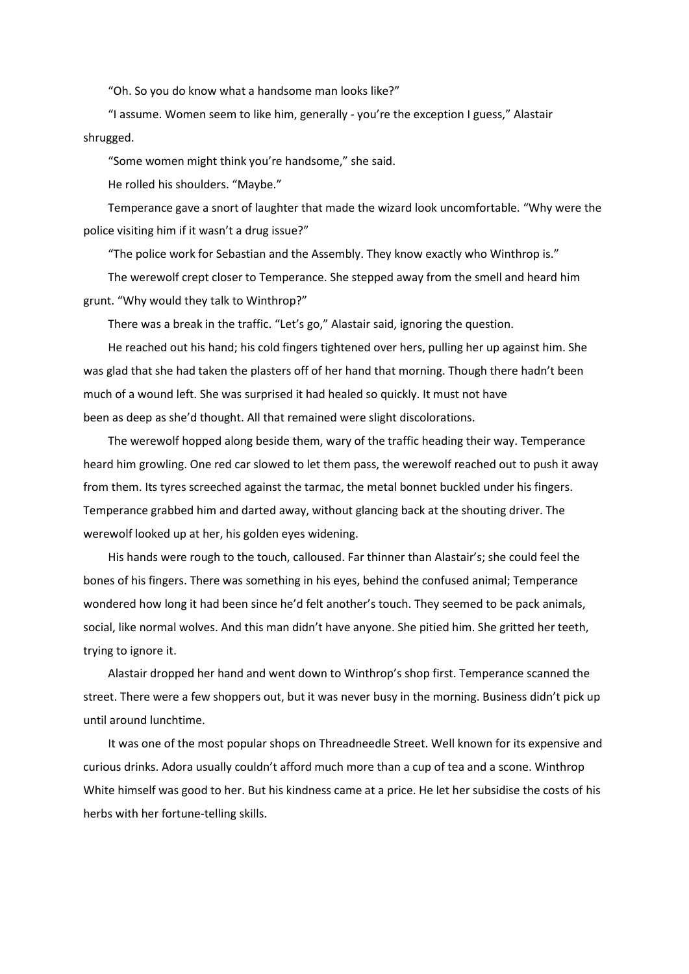"Oh. So you do know what a handsome man looks like?"

"I assume. Women seem to like him, generally - you're the exception I guess," Alastair shrugged.

"Some women might think you're handsome," she said.

He rolled his shoulders. "Maybe."

Temperance gave a snort of laughter that made the wizard look uncomfortable. "Why were the police visiting him if it wasn't a drug issue?"

"The police work for Sebastian and the Assembly. They know exactly who Winthrop is."

The werewolf crept closer to Temperance. She stepped away from the smell and heard him grunt. "Why would they talk to Winthrop?"

There was a break in the traffic. "Let's go," Alastair said, ignoring the question.

He reached out his hand; his cold fingers tightened over hers, pulling her up against him. She was glad that she had taken the plasters off of her hand that morning. Though there hadn't been much of a wound left. She was surprised it had healed so quickly. It must not have been as deep as she'd thought. All that remained were slight discolorations.

The werewolf hopped along beside them, wary of the traffic heading their way. Temperance heard him growling. One red car slowed to let them pass, the werewolf reached out to push it away from them. Its tyres screeched against the tarmac, the metal bonnet buckled under his fingers. Temperance grabbed him and darted away, without glancing back at the shouting driver. The werewolf looked up at her, his golden eyes widening.

His hands were rough to the touch, calloused. Far thinner than Alastair's; she could feel the bones of his fingers. There was something in his eyes, behind the confused animal; Temperance wondered how long it had been since he'd felt another's touch. They seemed to be pack animals, social, like normal wolves. And this man didn't have anyone. She pitied him. She gritted her teeth, trying to ignore it.

Alastair dropped her hand and went down to Winthrop's shop first. Temperance scanned the street. There were a few shoppers out, but it was never busy in the morning. Business didn't pick up until around lunchtime.

It was one of the most popular shops on Threadneedle Street. Well known for its expensive and curious drinks. Adora usually couldn't afford much more than a cup of tea and a scone. Winthrop White himself was good to her. But his kindness came at a price. He let her subsidise the costs of his herbs with her fortune-telling skills.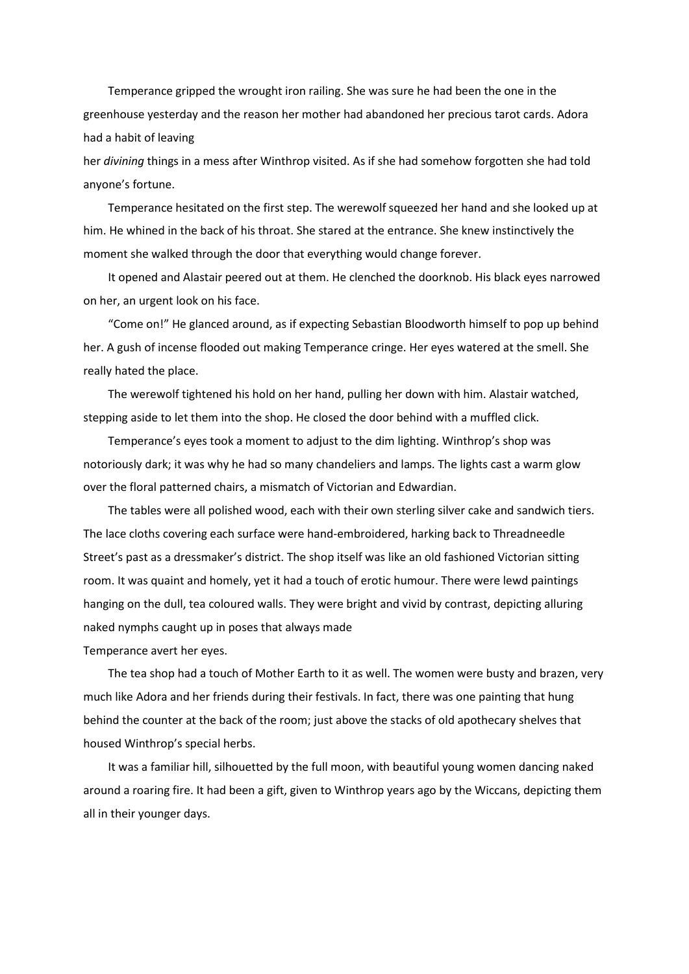Temperance gripped the wrought iron railing. She was sure he had been the one in the greenhouse yesterday and the reason her mother had abandoned her precious tarot cards. Adora had a habit of leaving

her *divining* things in a mess after Winthrop visited. As if she had somehow forgotten she had told anyone's fortune.

Temperance hesitated on the first step. The werewolf squeezed her hand and she looked up at him. He whined in the back of his throat. She stared at the entrance. She knew instinctively the moment she walked through the door that everything would change forever.

It opened and Alastair peered out at them. He clenched the doorknob. His black eyes narrowed on her, an urgent look on his face.

"Come on!" He glanced around, as if expecting Sebastian Bloodworth himself to pop up behind her. A gush of incense flooded out making Temperance cringe. Her eyes watered at the smell. She really hated the place.

The werewolf tightened his hold on her hand, pulling her down with him. Alastair watched, stepping aside to let them into the shop. He closed the door behind with a muffled click.

Temperance's eyes took a moment to adjust to the dim lighting. Winthrop's shop was notoriously dark; it was why he had so many chandeliers and lamps. The lights cast a warm glow over the floral patterned chairs, a mismatch of Victorian and Edwardian.

The tables were all polished wood, each with their own sterling silver cake and sandwich tiers. The lace cloths covering each surface were hand-embroidered, harking back to Threadneedle Street's past as a dressmaker's district. The shop itself was like an old fashioned Victorian sitting room. It was quaint and homely, yet it had a touch of erotic humour. There were lewd paintings hanging on the dull, tea coloured walls. They were bright and vivid by contrast, depicting alluring naked nymphs caught up in poses that always made

Temperance avert her eyes.

The tea shop had a touch of Mother Earth to it as well. The women were busty and brazen, very much like Adora and her friends during their festivals. In fact, there was one painting that hung behind the counter at the back of the room; just above the stacks of old apothecary shelves that housed Winthrop's special herbs.

It was a familiar hill, silhouetted by the full moon, with beautiful young women dancing naked around a roaring fire. It had been a gift, given to Winthrop years ago by the Wiccans, depicting them all in their younger days.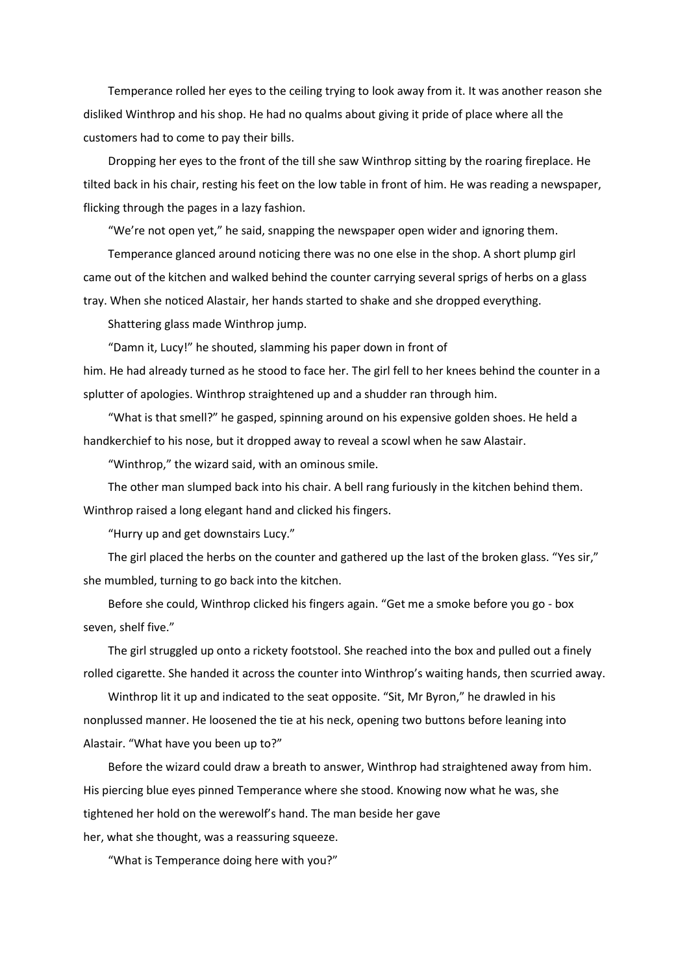Temperance rolled her eyes to the ceiling trying to look away from it. It was another reason she disliked Winthrop and his shop. He had no qualms about giving it pride of place where all the customers had to come to pay their bills.

Dropping her eyes to the front of the till she saw Winthrop sitting by the roaring fireplace. He tilted back in his chair, resting his feet on the low table in front of him. He was reading a newspaper, flicking through the pages in a lazy fashion.

"We're not open yet," he said, snapping the newspaper open wider and ignoring them.

Temperance glanced around noticing there was no one else in the shop. A short plump girl came out of the kitchen and walked behind the counter carrying several sprigs of herbs on a glass tray. When she noticed Alastair, her hands started to shake and she dropped everything.

Shattering glass made Winthrop jump.

"Damn it, Lucy!" he shouted, slamming his paper down in front of him. He had already turned as he stood to face her. The girl fell to her knees behind the counter in a splutter of apologies. Winthrop straightened up and a shudder ran through him.

"What is that smell?" he gasped, spinning around on his expensive golden shoes. He held a handkerchief to his nose, but it dropped away to reveal a scowl when he saw Alastair.

"Winthrop," the wizard said, with an ominous smile.

The other man slumped back into his chair. A bell rang furiously in the kitchen behind them. Winthrop raised a long elegant hand and clicked his fingers.

"Hurry up and get downstairs Lucy."

The girl placed the herbs on the counter and gathered up the last of the broken glass. "Yes sir," she mumbled, turning to go back into the kitchen.

Before she could, Winthrop clicked his fingers again. "Get me a smoke before you go - box seven, shelf five."

The girl struggled up onto a rickety footstool. She reached into the box and pulled out a finely rolled cigarette. She handed it across the counter into Winthrop's waiting hands, then scurried away.

Winthrop lit it up and indicated to the seat opposite. "Sit, Mr Byron," he drawled in his nonplussed manner. He loosened the tie at his neck, opening two buttons before leaning into Alastair. "What have you been up to?"

Before the wizard could draw a breath to answer, Winthrop had straightened away from him. His piercing blue eyes pinned Temperance where she stood. Knowing now what he was, she tightened her hold on the werewolf's hand. The man beside her gave her, what she thought, was a reassuring squeeze.

"What is Temperance doing here with you?"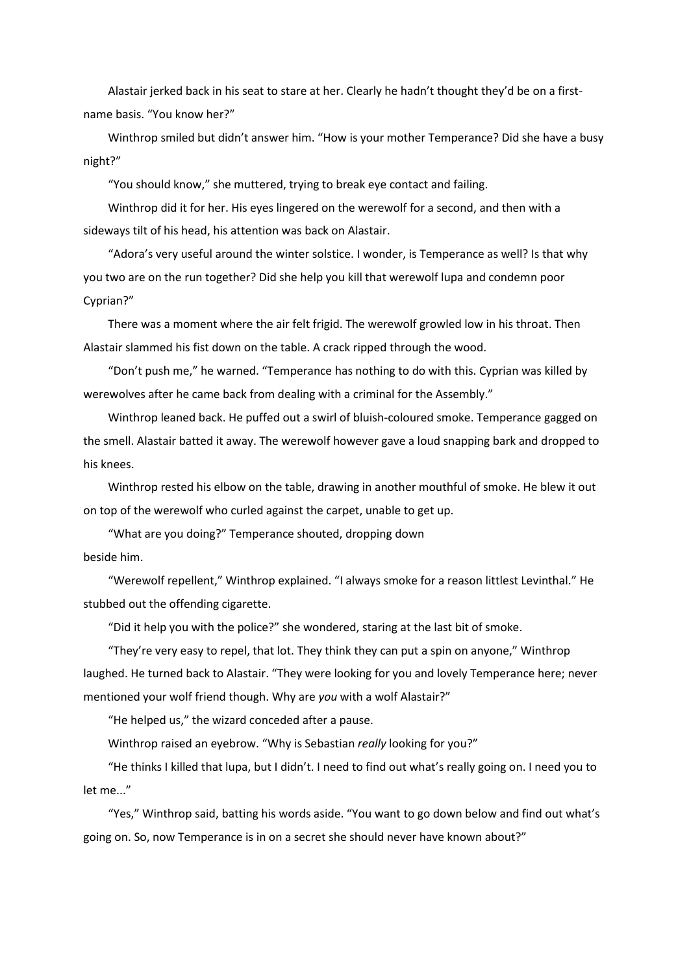Alastair jerked back in his seat to stare at her. Clearly he hadn't thought they'd be on a firstname basis. "You know her?"

Winthrop smiled but didn't answer him. "How is your mother Temperance? Did she have a busy night?"

"You should know," she muttered, trying to break eye contact and failing.

Winthrop did it for her. His eyes lingered on the werewolf for a second, and then with a sideways tilt of his head, his attention was back on Alastair.

"Adora's very useful around the winter solstice. I wonder, is Temperance as well? Is that why you two are on the run together? Did she help you kill that werewolf lupa and condemn poor Cyprian?"

There was a moment where the air felt frigid. The werewolf growled low in his throat. Then Alastair slammed his fist down on the table. A crack ripped through the wood.

"Don't push me," he warned. "Temperance has nothing to do with this. Cyprian was killed by werewolves after he came back from dealing with a criminal for the Assembly."

Winthrop leaned back. He puffed out a swirl of bluish-coloured smoke. Temperance gagged on the smell. Alastair batted it away. The werewolf however gave a loud snapping bark and dropped to his knees.

Winthrop rested his elbow on the table, drawing in another mouthful of smoke. He blew it out on top of the werewolf who curled against the carpet, unable to get up.

"What are you doing?" Temperance shouted, dropping down beside him.

"Werewolf repellent," Winthrop explained. "I always smoke for a reason littlest Levinthal." He stubbed out the offending cigarette.

"Did it help you with the police?" she wondered, staring at the last bit of smoke.

"They're very easy to repel, that lot. They think they can put a spin on anyone," Winthrop laughed. He turned back to Alastair. "They were looking for you and lovely Temperance here; never mentioned your wolf friend though. Why are *you* with a wolf Alastair?"

"He helped us," the wizard conceded after a pause.

Winthrop raised an eyebrow. "Why is Sebastian *really* looking for you?"

"He thinks I killed that lupa, but I didn't. I need to find out what's really going on. I need you to let me..."

"Yes," Winthrop said, batting his words aside. "You want to go down below and find out what's going on. So, now Temperance is in on a secret she should never have known about?"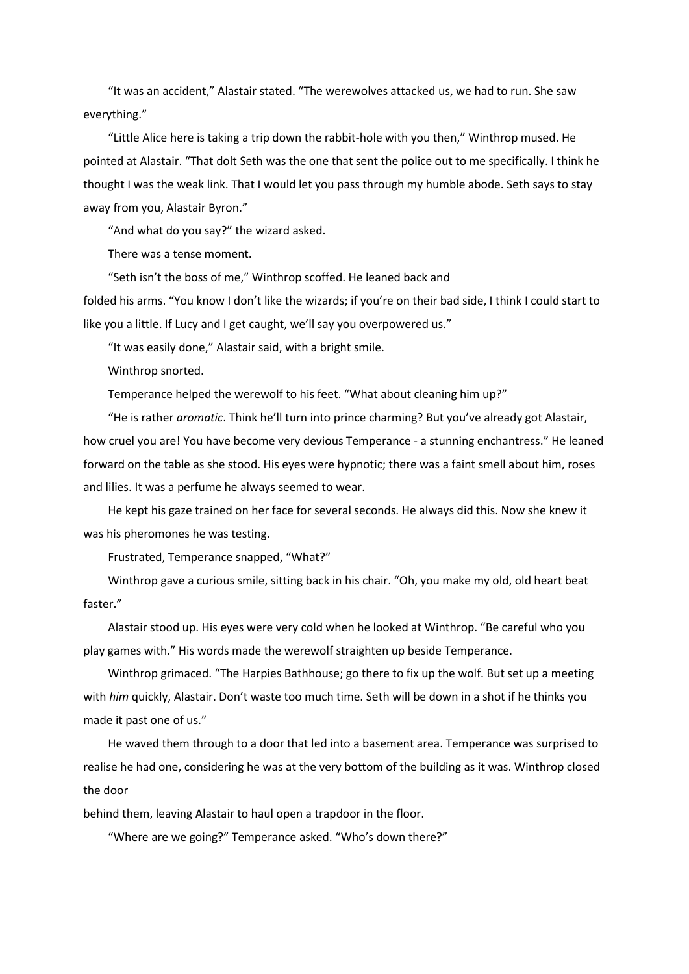"It was an accident," Alastair stated. "The werewolves attacked us, we had to run. She saw everything."

"Little Alice here is taking a trip down the rabbit-hole with you then," Winthrop mused. He pointed at Alastair. "That dolt Seth was the one that sent the police out to me specifically. I think he thought I was the weak link. That I would let you pass through my humble abode. Seth says to stay away from you, Alastair Byron."

"And what do you say?" the wizard asked.

There was a tense moment.

"Seth isn't the boss of me," Winthrop scoffed. He leaned back and

folded his arms. "You know I don't like the wizards; if you're on their bad side, I think I could start to like you a little. If Lucy and I get caught, we'll say you overpowered us."

"It was easily done," Alastair said, with a bright smile.

Winthrop snorted.

Temperance helped the werewolf to his feet. "What about cleaning him up?"

"He is rather *aromatic*. Think he'll turn into prince charming? But you've already got Alastair, how cruel you are! You have become very devious Temperance - a stunning enchantress." He leaned forward on the table as she stood. His eyes were hypnotic; there was a faint smell about him, roses and lilies. It was a perfume he always seemed to wear.

He kept his gaze trained on her face for several seconds. He always did this. Now she knew it was his pheromones he was testing.

Frustrated, Temperance snapped, "What?"

Winthrop gave a curious smile, sitting back in his chair. "Oh, you make my old, old heart beat faster."

Alastair stood up. His eyes were very cold when he looked at Winthrop. "Be careful who you play games with." His words made the werewolf straighten up beside Temperance.

Winthrop grimaced. "The Harpies Bathhouse; go there to fix up the wolf. But set up a meeting with *him* quickly, Alastair. Don't waste too much time. Seth will be down in a shot if he thinks you made it past one of us."

He waved them through to a door that led into a basement area. Temperance was surprised to realise he had one, considering he was at the very bottom of the building as it was. Winthrop closed the door

behind them, leaving Alastair to haul open a trapdoor in the floor.

"Where are we going?" Temperance asked. "Who's down there?"